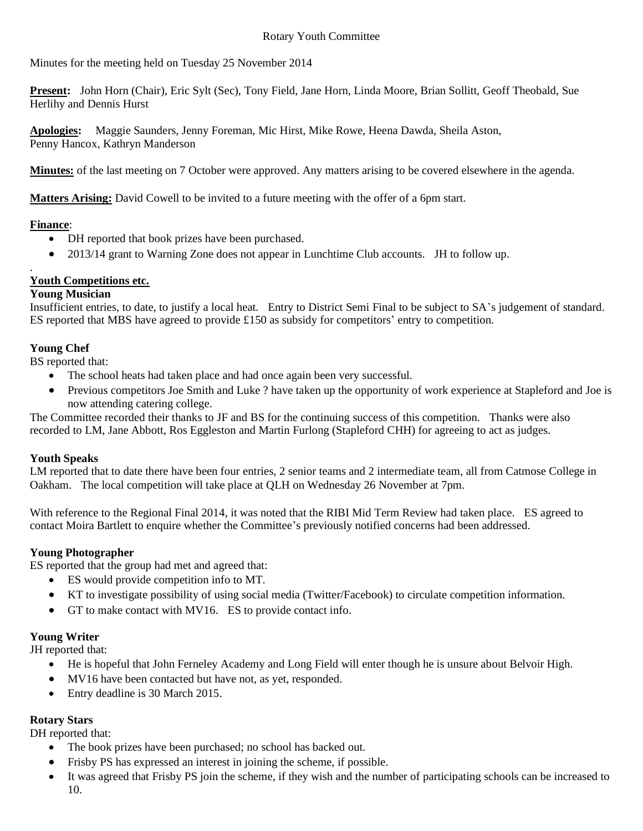Minutes for the meeting held on Tuesday 25 November 2014

**Present:** John Horn (Chair), Eric Sylt (Sec), Tony Field, Jane Horn, Linda Moore, Brian Sollitt, Geoff Theobald, Sue Herlihy and Dennis Hurst

**Apologies:** Maggie Saunders, Jenny Foreman, Mic Hirst, Mike Rowe, Heena Dawda, Sheila Aston, Penny Hancox, Kathryn Manderson

**Minutes:** of the last meeting on 7 October were approved. Any matters arising to be covered elsewhere in the agenda.

**Matters Arising:** David Cowell to be invited to a future meeting with the offer of a 6pm start.

# **Finance**:

.

- DH reported that book prizes have been purchased.
- 2013/14 grant to Warning Zone does not appear in Lunchtime Club accounts. JH to follow up.

# **Youth Competitions etc.**

### **Young Musician**

Insufficient entries, to date, to justify a local heat. Entry to District Semi Final to be subject to SA's judgement of standard. ES reported that MBS have agreed to provide £150 as subsidy for competitors' entry to competition.

# **Young Chef**

BS reported that:

- The school heats had taken place and had once again been very successful.
- Previous competitors Joe Smith and Luke ? have taken up the opportunity of work experience at Stapleford and Joe is now attending catering college.

The Committee recorded their thanks to JF and BS for the continuing success of this competition. Thanks were also recorded to LM, Jane Abbott, Ros Eggleston and Martin Furlong (Stapleford CHH) for agreeing to act as judges.

## **Youth Speaks**

LM reported that to date there have been four entries, 2 senior teams and 2 intermediate team, all from Catmose College in Oakham. The local competition will take place at QLH on Wednesday 26 November at 7pm.

With reference to the Regional Final 2014, it was noted that the RIBI Mid Term Review had taken place. ES agreed to contact Moira Bartlett to enquire whether the Committee's previously notified concerns had been addressed.

## **Young Photographer**

ES reported that the group had met and agreed that:

- ES would provide competition info to MT.
- KT to investigate possibility of using social media (Twitter/Facebook) to circulate competition information.
- GT to make contact with MV16. ES to provide contact info.

# **Young Writer**

JH reported that:

- He is hopeful that John Ferneley Academy and Long Field will enter though he is unsure about Belvoir High.
- MV16 have been contacted but have not, as yet, responded.
- Entry deadline is 30 March 2015.

# **Rotary Stars**

DH reported that:

- The book prizes have been purchased; no school has backed out.
- Frisby PS has expressed an interest in joining the scheme, if possible.
- It was agreed that Frisby PS join the scheme, if they wish and the number of participating schools can be increased to 10.